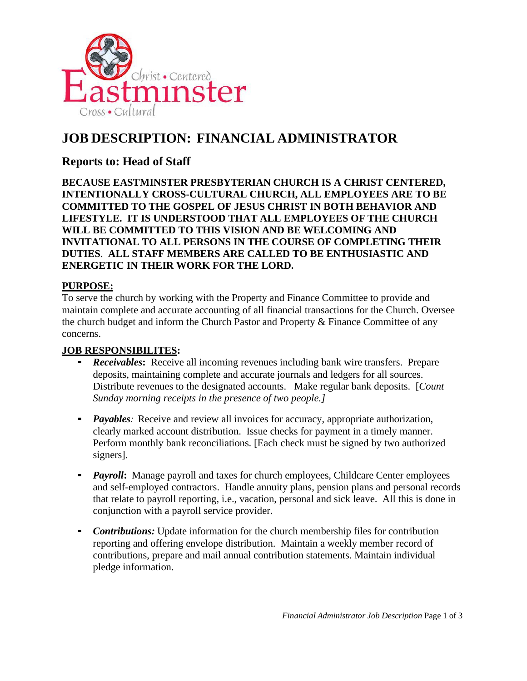

# **JOB DESCRIPTION: FINANCIAL ADMINISTRATOR**

## **Reports to: Head of Staff**

**BECAUSE EASTMINSTER PRESBYTERIAN CHURCH IS A CHRIST CENTERED, INTENTIONALLY CROSS-CULTURAL CHURCH, ALL EMPLOYEES ARE TO BE COMMITTED TO THE GOSPEL OF JESUS CHRIST IN BOTH BEHAVIOR AND LIFESTYLE. IT IS UNDERSTOOD THAT ALL EMPLOYEES OF THE CHURCH WILL BE COMMITTED TO THIS VISION AND BE WELCOMING AND INVITATIONAL TO ALL PERSONS IN THE COURSE OF COMPLETING THEIR DUTIES**. **ALL STAFF MEMBERS ARE CALLED TO BE ENTHUSIASTIC AND ENERGETIC IN THEIR WORK FOR THE LORD.**

## **PURPOSE:**

To serve the church by working with the Property and Finance Committee to provide and maintain complete and accurate accounting of all financial transactions for the Church. Oversee the church budget and inform the Church Pastor and Property & Finance Committee of any concerns.

## **JOB RESPONSIBILITES:**

- *Receivables*: Receive all incoming revenues including bank wire transfers. Prepare deposits, maintaining complete and accurate journals and ledgers for all sources. Distribute revenues to the designated accounts. Make regular bank deposits. [*Count Sunday morning receipts in the presence of two people.]*
- **•** *Payables:* Receive and review all invoices for accuracy, appropriate authorization, clearly marked account distribution. Issue checks for payment in a timely manner. Perform monthly bank reconciliations. [Each check must be signed by two authorized signers].
- *Payroll*: Manage payroll and taxes for church employees, Childcare Center employees and self-employed contractors. Handle annuity plans, pension plans and personal records that relate to payroll reporting, i.e., vacation, personal and sick leave. All this is done in conjunction with a payroll service provider.
- *Contributions:* Update information for the church membership files for contribution reporting and offering envelope distribution. Maintain a weekly member record of contributions, prepare and mail annual contribution statements. Maintain individual pledge information.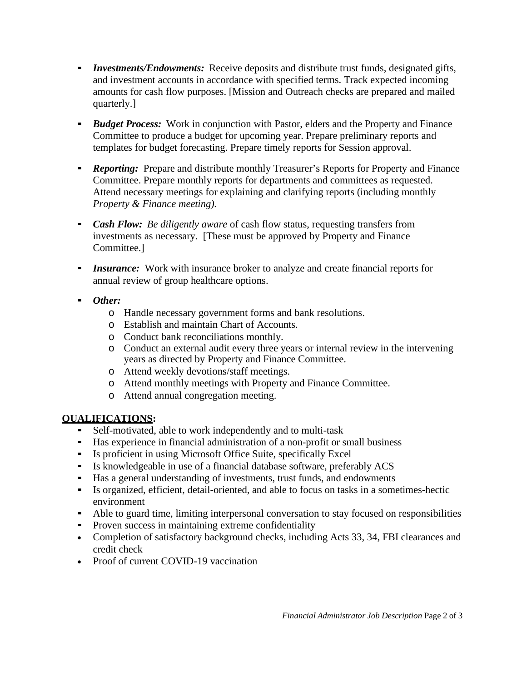- *Investments/Endowments:* Receive deposits and distribute trust funds, designated gifts, and investment accounts in accordance with specified terms. Track expected incoming amounts for cash flow purposes. [Mission and Outreach checks are prepared and mailed quarterly.]
- *Budget Process:* Work in conjunction with Pastor, elders and the Property and Finance Committee to produce a budget for upcoming year. Prepare preliminary reports and templates for budget forecasting. Prepare timely reports for Session approval.
- *Reporting:* Prepare and distribute monthly Treasurer's Reports for Property and Finance Committee. Prepare monthly reports for departments and committees as requested. Attend necessary meetings for explaining and clarifying reports (including monthly *Property & Finance meeting).*
- *Cash Flow: Be diligently aware* of cash flow status, requesting transfers from investments as necessary. [These must be approved by Property and Finance Committee.]
- **Insurance:** Work with insurance broker to analyze and create financial reports for annual review of group healthcare options.
- *Other:*
	- o Handle necessary government forms and bank resolutions.
	- o Establish and maintain Chart of Accounts.
	- o Conduct bank reconciliations monthly.
	- o Conduct an external audit every three years or internal review in the intervening years as directed by Property and Finance Committee.
	- o Attend weekly devotions/staff meetings.
	- o Attend monthly meetings with Property and Finance Committee.
	- o Attend annual congregation meeting.

## **QUALIFICATIONS:**

- Self-motivated, able to work independently and to multi-task
- Has experience in financial administration of a non-profit or small business
- Is proficient in using Microsoft Office Suite, specifically Excel
- Is knowledgeable in use of a financial database software, preferably ACS
- Has a general understanding of investments, trust funds, and endowments
- Is organized, efficient, detail-oriented, and able to focus on tasks in a sometimes-hectic environment
- Able to guard time, limiting interpersonal conversation to stay focused on responsibilities
- Proven success in maintaining extreme confidentiality
- Completion of satisfactory background checks, including Acts 33, 34, FBI clearances and credit check
- Proof of current COVID-19 vaccination